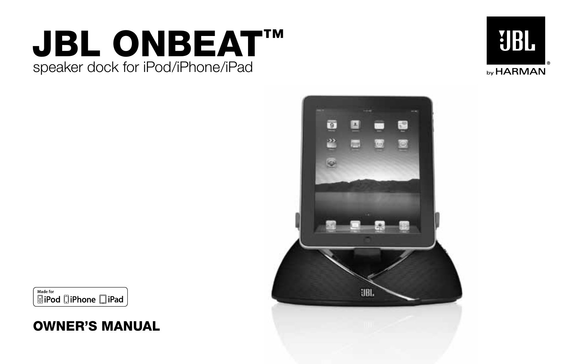# speaker dock for iPod/iPhone/iPad **JBL ONBEAT™**





Made for **SiPod DiPhone DiPad** 

# **OWNER'S MANUAL**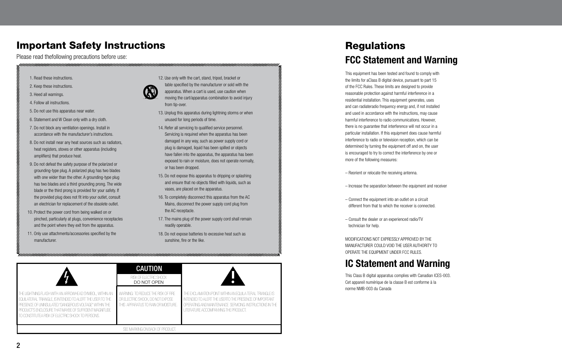### **Important Safety Instructions**

Please read thefollowing precautions before use:

- 1. Read these instructions.
- 2. Keep these instructions.
- 3. Heed all warnings.
- 4. Follow all instructions.
- 5. Do not use this apparatus near water.
- 6. Statement and W Clean only with a dry cloth.
- 7. Do not block any ventilation openings. Install in accordance with the manufacturer's instructions.
- 8. Do not install near any heat sources such as radiators, heat registers, stoves or other apparatus (including amplifiers) that produce heat.
- 9. Do not defeat the safety purpose of the polarized or grounding-type plug. A polarized plug has two blades with one wider than the other. A grounding-type plug has two blades and a third grounding prong. The wide blade or the third prong is provided for your safety. If the provided plug does not fit into your outlet, consult an electrician for replacement of the obsolete outlet.
- 10. Protect the power cord from being walked on or pinched, particularly at plugs, convenience receptacles and the point where they exit from the apparatus.
- 11. Only use attachments/accessories specified by the manufacturer.
- 12. Use only with the cart, stand, tripod, bracket or table specified by the manufacturer or sold with the apparatus. When a cart is used, use caution when moving the cart/apparatus combination to avoid injury from tip-over.
- 13. Unplug this apparatus during lightning storms or when unused for long periods of time.
- 14. Refer all servicing to qualified service personnel. Servicing is required when the apparatus has been damaged in any way, such as power supply cord or plug is damaged, liquid has been spilled or objects have fallen into the apparatus, the apparatus has been exposed to rain or moisture, does not operate normally, or has been dropped.
- 15. Do not expose this apparatus to dripping or splashing and ensure that no objects filled with liquids, such as vases, are placed on the apparatus.
- 16. To completely disconnect this apparatus from the AC Mains, disconnect the power supply cord plug from the AC receptacle.
- 17. The mains plug of the power supply cord shall remain readily operable.
- 18. Do not expose batteries to excessive heat such as sunshine, fire or the like.

|                                                                                                                                                                                                                                                                                                 | <b>CAUTION</b><br>RISK OF ELECTRIC SHOCK<br>DO NOT OPEN                                                       |                                                                                                                                                                                                                       |
|-------------------------------------------------------------------------------------------------------------------------------------------------------------------------------------------------------------------------------------------------------------------------------------------------|---------------------------------------------------------------------------------------------------------------|-----------------------------------------------------------------------------------------------------------------------------------------------------------------------------------------------------------------------|
| THE LIGHTNING FLASH WITH AN ARROWHEAD SYMBOL, WITHIN AN<br>EQUILATERAL TRIANGLE, IS INTENDED TO ALERT THE USER TO THE<br>PRESENCE OF UNINSULATED "DANGEROUS VOLTAGE" WITHIN THE<br>PRODUCT'S ENCLOSURE THAT MAYBE OF SUFFICIENT MAGNITUDE.<br>TO CONSTITUTEA RISK OF ELECTRIC SHOCK TO PERSONS. | WARNING: TO REDUCE THE RISK OF FIRE<br>OR ELECTRIC SHOCK, DO NOT EXPOSE<br>THIS APPARATUS TO RAN OR MOISTURE. | THE EXCLAMATION POINT WITHIN AN EQUILA TERAL TRIANGLE IS<br>INTENDED TO ALERT THE USERTO THE PRESENCE OF IMPORTANT<br>OPERATING AND MAINTENANCE SERVICING INSTRUCTIONS IN THE<br>LITERATURE ACCOMPANYING THE PRODUCT. |
|                                                                                                                                                                                                                                                                                                 | SEE MARKING ON BACK OF PRODUCT.                                                                               |                                                                                                                                                                                                                       |

# **Regulations FCC Statement and Warning**

This equipment has been tested and found to comply with the limits for aClass B digital device, pursuant to part 15 of the FCC Rules. These limits are designed to provide reasonable protection against harmful interference in a residential installation. This equipment generates, uses and can radiateradio frequency energy and, if not installed and used in accordance with the instructions, may cause harmful interference to radio communications. However, there is no guarantee that interference will not occur in a particular installation. If this equipment does cause harmful interference to radio or television reception, which can be determined by turning the equipment off and on, the user is encouraged to try to correct the interference by one or more of the following measures:

– Reorient or relocate the receiving antenna.

- Increase the separation between the equipment and receiver
- Connect the equipment into an outlet on a circuit different from that to which the receiver is connected.
- Consult the dealer or an experienced radio/TV technician for help.

MODIFICATIONS NOT EXPRESSLY APPROVED BY THE MANUFACTURER COULD VOID THE USER AUTHORITY TO OPERATE THE EQUIPMENT UNDER FCC RULES.

### **IC Statement and Warning**

This Class B digital apparatus complies with Canadian ICES-003. Cet appareil numérique de la classe B est conforme à la norme NMB-003 du Canada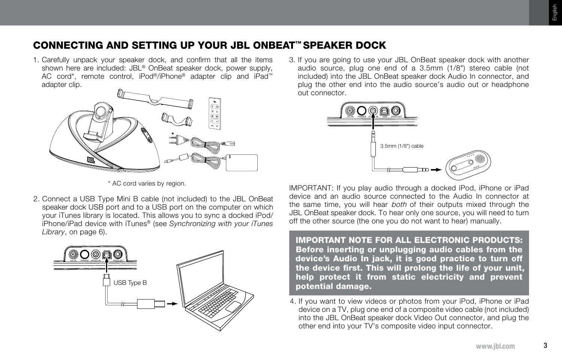### **CONNECTING AND SETTING UP YOUR JBL ONBEAT™ SPEAKER DOCK**

1. Carefully unpack your speaker dock, and confirm that all the items shown here are included: JBL® OnBeat speaker dock, power supply, AC cord\*, remote control, iPod®/iPhone® adapter clip and iPad™ adapter clip.



3. If you are going to use your JBL OnBeat speaker dock with another audio source, plug one end of a 3.5mm (1/8") stereo cable (not included) into the JBL OnBeat speaker dock Audio In connector, and plug the other end into the audio source's audio out or headphone out connector.



\* AC cord varies by region.

2. Connect a USB Type Mini B cable (not included) to the JBL OnBeat speaker dock USB port and to a USB port on the computer on which your iTunes library is located. This allows you to sync a docked iPod/ iPhone/iPad device with iTunes® (see *Synchronizing with your iTunes Library*, on page 6).



IMPORTANT: If you play audio through a docked iPod, iPhone or iPad device and an audio source connected to the Audio In connector at the same time, you will hear *both* of their outputs mixed through the JBL OnBeat speaker dock. To hear only one source, you will need to turn off the other source (the one you do not want to hear) manually.

**IMPORTANT NOTE FOR ALL ELECTRONIC PRODUCTS: Before inserting or unplugging audio cables from the device's Audio In jack, it is good practice to turn off the device first. This will prolong the life of your unit, help protect it from static electricity and prevent potential damage.**

4. If you want to view videos or photos from your iPod, iPhone or iPad device on a TV, plug one end of a composite video cable (not included) into the JBL OnBeat speaker dock Video Out connector, and plug the other end into your TV's composite video input connector.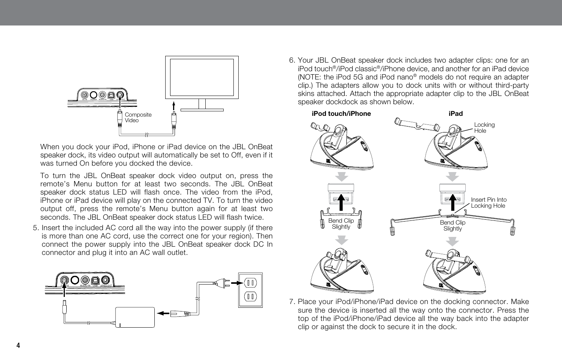

When you dock your iPod, iPhone or iPad device on the JBL OnBeat speaker dock, its video output will automatically be set to Off, even if it was turned On before you docked the device.

 To turn the JBL OnBeat speaker dock video output on, press the remote's Menu button for at least two seconds. The JBL OnBeat speaker dock status LED will flash once. The video from the iPod, iPhone or iPad device will play on the connected TV. To turn the video output off, press the remote's Menu button again for at least two seconds. The JBL OnBeat speaker dock status LED will flash twice.

5. Insert the included AC cord all the way into the power supply (if there is more than one AC cord, use the correct one for your region). Then connect the power supply into the JBL OnBeat speaker dock DC In connector and plug it into an AC wall outlet.



6. Your JBL OnBeat speaker dock includes two adapter clips: one for an iPod touch®/iPod classic®/iPhone device, and another for an iPad device (NOTE: the iPod 5G and iPod nano® models do not require an adapter clip.) The adapters allow you to dock units with or without third-party skins attached. Attach the appropriate adapter clip to the JBL OnBeat speaker dockdock as shown below.



7. Place your iPod/iPhone/iPad device on the docking connector. Make sure the device is inserted all the way onto the connector. Press the top of the iPod/iPhone/iPad device all the way back into the adapter clip or against the dock to secure it in the dock.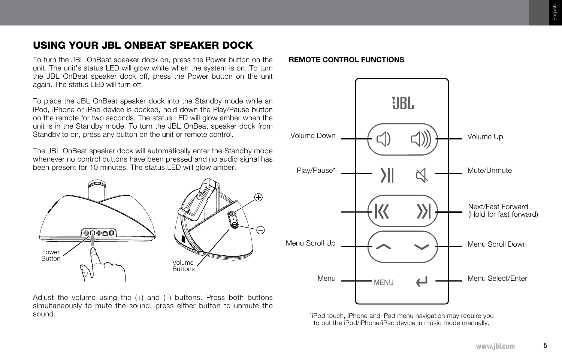## **USING YOUR JBL ONBEAT SPEAKER DOCK**

To turn the JBL OnBeat speaker dock on, press the Power button on the **REMOTE CONTROL FUNCTIONS** unit. The unit's status LED will glow white when the system is on. To turn the JBL OnBeat speaker dock off, press the Power button on the unit again. The status LED will turn off.

To place the JBL OnBeat speaker dock into the Standby mode while an iPod, iPhone or iPad device is docked, hold down the Play/Pause button on the remote for two seconds. The status LED will glow amber when the unit is in the Standby mode. To turn the JBL OnBeat speaker dock from Standby to on, press any button on the unit or remote control.

The JBL OnBeat speaker dock will automatically enter the Standby mode whenever no control buttons have been pressed and no audio signal has been present for 10 minutes. The status LED will glow amber.



Adjust the volume using the  $(+)$  and  $(-)$  buttons. Press both buttons simultaneously to mute the sound; press either button to unmute the sound.



\* iPod touch, iPhone and iPad menu navigation may require you to put the iPod/iPhone/iPad device in music mode manually.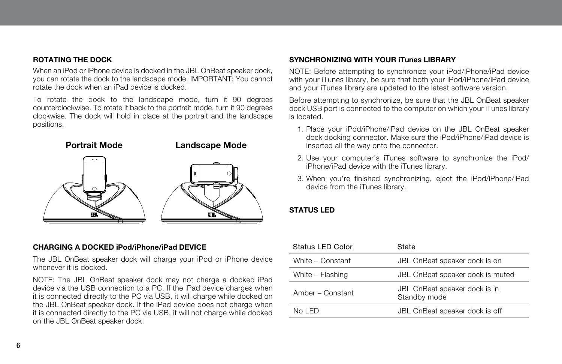### **ROTATING THE DOCK**

When an iPod or iPhone device is docked in the JBL OnBeat speaker dock, you can rotate the dock to the landscape mode. IMPORTANT: You cannot rotate the dock when an iPad device is docked.

To rotate the dock to the landscape mode, turn it 90 degrees counterclockwise. To rotate it back to the portrait mode, turn it 90 degrees clockwise. The dock will hold in place at the portrait and the landscape positions.



### **CHARGING A DOCKED iPod/iPhone/iPad DEVICE**

The JBL OnBeat speaker dock will charge your iPod or iPhone device whenever it is docked.

NOTE: The JBL OnBeat speaker dock may not charge a docked iPad device via the USB connection to a PC. If the iPad device charges when it is connected directly to the PC via USB, it will charge while docked on the JBL OnBeat speaker dock. If the iPad device does not charge when it is connected directly to the PC via USB, it will not charge while docked on the JBL OnBeat speaker dock.

### **SYNCHRONIZING WITH YOUR iTunes LIBRARY**

NOTE: Before attempting to synchronize your iPod/iPhone/iPad device with your iTunes library, be sure that both your iPod/iPhone/iPad device and your iTunes library are updated to the latest software version.

Before attempting to synchronize, be sure that the JBL OnBeat speaker dock USB port is connected to the computer on which your iTunes library is located.

- 1. Place your iPod/iPhone/iPad device on the JBL OnBeat speaker dock docking connector. Make sure the iPod/iPhone/iPad device is inserted all the way onto the connector.
- 2. Use your computer's iTunes software to synchronize the iPod/ iPhone/iPad device with the iTunes library.
- 3. When you're finished synchronizing, eject the iPod/iPhone/iPad device from the iTunes library.

### **STATUS LED**

| Status LED Color | State                                         |
|------------------|-----------------------------------------------|
| White - Constant | JBL OnBeat speaker dock is on                 |
| White - Flashing | JBL OnBeat speaker dock is muted              |
| Amber - Constant | JBL OnBeat speaker dock is in<br>Standby mode |
| No I ED          | JBL OnBeat speaker dock is off                |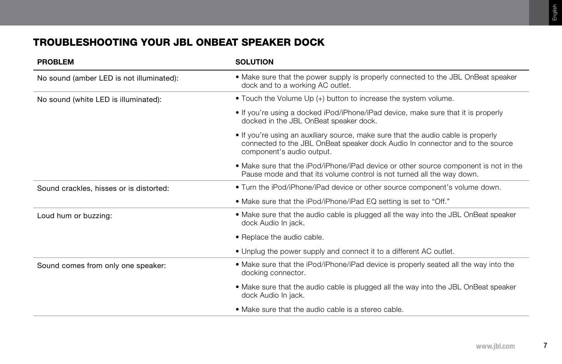# **TROUBLESHOOTING YOUR JBL ONBEAT SPEAKER DOCK**

| <b>PROBLEM</b>                           | <b>SOLUTION</b>                                                                                                                                                                                 |
|------------------------------------------|-------------------------------------------------------------------------------------------------------------------------------------------------------------------------------------------------|
| No sound (amber LED is not illuminated): | • Make sure that the power supply is properly connected to the JBL OnBeat speaker<br>dock and to a working AC outlet.                                                                           |
| No sound (white LED is illuminated):     | • Touch the Volume Up (+) button to increase the system volume.                                                                                                                                 |
|                                          | • If you're using a docked iPod/iPhone/iPad device, make sure that it is properly<br>docked in the JBL OnBeat speaker dock.                                                                     |
|                                          | • If you're using an auxiliary source, make sure that the audio cable is properly<br>connected to the JBL OnBeat speaker dock Audio In connector and to the source<br>component's audio output. |
|                                          | • Make sure that the iPod/iPhone/iPad device or other source component is not in the<br>Pause mode and that its volume control is not turned all the way down.                                  |
| Sound crackles, hisses or is distorted:  | . Turn the iPod/iPhone/iPad device or other source component's volume down.                                                                                                                     |
|                                          | • Make sure that the iPod/iPhone/iPad EQ setting is set to "Off."                                                                                                                               |
| Loud hum or buzzing:                     | • Make sure that the audio cable is plugged all the way into the JBL OnBeat speaker<br>dock Audio In jack.                                                                                      |
|                                          | • Replace the audio cable.                                                                                                                                                                      |
|                                          | • Unplug the power supply and connect it to a different AC outlet.                                                                                                                              |
| Sound comes from only one speaker:       | • Make sure that the iPod/iPhone/iPad device is properly seated all the way into the<br>docking connector.                                                                                      |
|                                          | • Make sure that the audio cable is plugged all the way into the JBL OnBeat speaker<br>dock Audio In jack.                                                                                      |
|                                          | • Make sure that the audio cable is a stereo cable.                                                                                                                                             |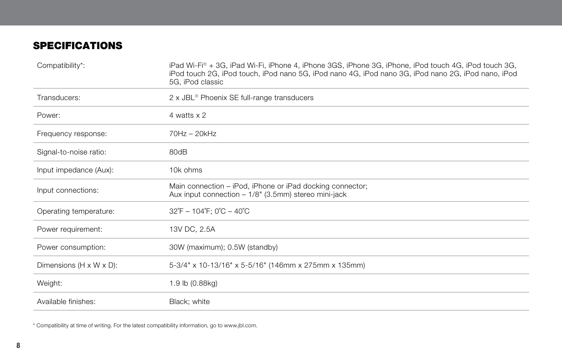## **SPECIFICATIONS**

| Compatibility*:                      | iPad Wi-Fi® + 3G, iPad Wi-Fi, iPhone 4, iPhone 3GS, iPhone 3G, iPhone, iPod touch 4G, iPod touch 3G,<br>iPod touch 2G, iPod touch, iPod nano 5G, iPod nano 4G, iPod nano 3G, iPod nano 2G, iPod nano, iPod<br>5G, iPod classic |
|--------------------------------------|--------------------------------------------------------------------------------------------------------------------------------------------------------------------------------------------------------------------------------|
| Transducers:                         | 2 x JBL <sup>®</sup> Phoenix SE full-range transducers                                                                                                                                                                         |
| Power:                               | 4 watts x 2                                                                                                                                                                                                                    |
| Frequency response:                  | $70Hz - 20kHz$                                                                                                                                                                                                                 |
| Signal-to-noise ratio:               | 80dB                                                                                                                                                                                                                           |
| Input impedance (Aux):               | 10k ohms                                                                                                                                                                                                                       |
| Input connections:                   | Main connection – iPod, iPhone or iPad docking connector;<br>Aux input connection $-1/8$ " (3.5mm) stereo mini-jack                                                                                                            |
| Operating temperature:               | $32^{\circ}F - 104^{\circ}F$ : 0 $^{\circ}C - 40^{\circ}C$                                                                                                                                                                     |
| Power requirement:                   | 13V DC, 2.5A                                                                                                                                                                                                                   |
| Power consumption:                   | 30W (maximum); 0.5W (standby)                                                                                                                                                                                                  |
| Dimensions $(H \times W \times D)$ : | 5-3/4" x 10-13/16" x 5-5/16" (146mm x 275mm x 135mm)                                                                                                                                                                           |
| Weight:                              | 1.9 lb (0.88kg)                                                                                                                                                                                                                |
| Available finishes:                  | Black; white                                                                                                                                                                                                                   |

\* Compatibility at time of writing. For the latest compatibility information, go to www.jbl.com.